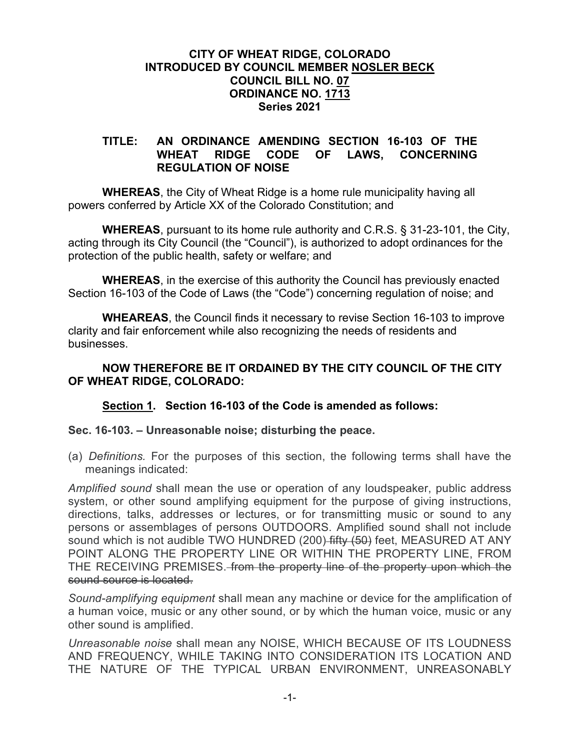## **CITY OF WHEAT RIDGE, COLORADO INTRODUCED BY COUNCIL MEMBER NOSLER BECK COUNCIL BILL NO. 07 ORDINANCE NO. 1713 Series 2021**

#### **TITLE: AN ORDINANCE AMENDING SECTION 16-103 OF THE WHEAT RIDGE CODE OF LAWS, CONCERNING REGULATION OF NOISE**

**WHEREAS**, the City of Wheat Ridge is a home rule municipality having all powers conferred by Article XX of the Colorado Constitution; and

**WHEREAS**, pursuant to its home rule authority and C.R.S. § 31-23-101, the City, acting through its City Council (the "Council"), is authorized to adopt ordinances for the protection of the public health, safety or welfare; and

**WHEREAS**, in the exercise of this authority the Council has previously enacted Section 16-103 of the Code of Laws (the "Code") concerning regulation of noise; and

**WHEAREAS**, the Council finds it necessary to revise Section 16-103 to improve clarity and fair enforcement while also recognizing the needs of residents and businesses.

# **NOW THEREFORE BE IT ORDAINED BY THE CITY COUNCIL OF THE CITY OF WHEAT RIDGE, COLORADO:**

# **Section 1. Section 16-103 of the Code is amended as follows:**

## **Sec. 16-103. – Unreasonable noise; disturbing the peace.**

(a) *Definitions.* For the purposes of this section, the following terms shall have the meanings indicated:

*Amplified sound* shall mean the use or operation of any loudspeaker, public address system, or other sound amplifying equipment for the purpose of giving instructions, directions, talks, addresses or lectures, or for transmitting music or sound to any persons or assemblages of persons OUTDOORS. Amplified sound shall not include sound which is not audible TWO HUNDRED (200) fifty (50) feet, MEASURED AT ANY POINT ALONG THE PROPERTY LINE OR WITHIN THE PROPERTY LINE, FROM THE RECEIVING PREMISES. from the property line of the property upon which the sound source is located.

*Sound-amplifying equipment* shall mean any machine or device for the amplification of a human voice, music or any other sound, or by which the human voice, music or any other sound is amplified.

*Unreasonable noise* shall mean any NOISE, WHICH BECAUSE OF ITS LOUDNESS AND FREQUENCY, WHILE TAKING INTO CONSIDERATION ITS LOCATION AND THE NATURE OF THE TYPICAL URBAN ENVIRONMENT, UNREASONABLY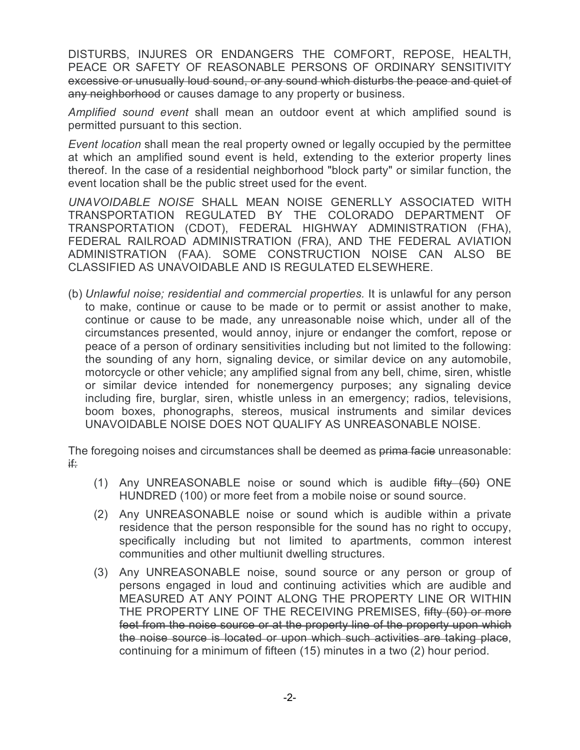DISTURBS, INJURES OR ENDANGERS THE COMFORT, REPOSE, HEALTH, PEACE OR SAFETY OF REASONABLE PERSONS OF ORDINARY SENSITIVITY excessive or unusually loud sound, or any sound which disturbs the peace and quiet of any neighborhood or causes damage to any property or business.

*Amplified sound event* shall mean an outdoor event at which amplified sound is permitted pursuant to this section.

*Event location* shall mean the real property owned or legally occupied by the permittee at which an amplified sound event is held, extending to the exterior property lines thereof. In the case of a residential neighborhood "block party" or similar function, the event location shall be the public street used for the event.

*UNAVOIDABLE NOISE* SHALL MEAN NOISE GENERLLY ASSOCIATED WITH TRANSPORTATION REGULATED BY THE COLORADO DEPARTMENT OF TRANSPORTATION (CDOT), FEDERAL HIGHWAY ADMINISTRATION (FHA), FEDERAL RAILROAD ADMINISTRATION (FRA), AND THE FEDERAL AVIATION ADMINISTRATION (FAA). SOME CONSTRUCTION NOISE CAN ALSO BE CLASSIFIED AS UNAVOIDABLE AND IS REGULATED ELSEWHERE.

(b) *Unlawful noise; residential and commercial properties.* It is unlawful for any person to make, continue or cause to be made or to permit or assist another to make, continue or cause to be made, any unreasonable noise which, under all of the circumstances presented, would annoy, injure or endanger the comfort, repose or peace of a person of ordinary sensitivities including but not limited to the following: the sounding of any horn, signaling device, or similar device on any automobile, motorcycle or other vehicle; any amplified signal from any bell, chime, siren, whistle or similar device intended for nonemergency purposes; any signaling device including fire, burglar, siren, whistle unless in an emergency; radios, televisions, boom boxes, phonographs, stereos, musical instruments and similar devices UNAVOIDABLE NOISE DOES NOT QUALIFY AS UNREASONABLE NOISE.

The foregoing noises and circumstances shall be deemed as prima facie unreasonable: if:

- (1) Any UNREASONABLE noise or sound which is audible fifty (50) ONE HUNDRED (100) or more feet from a mobile noise or sound source.
- (2) Any UNREASONABLE noise or sound which is audible within a private residence that the person responsible for the sound has no right to occupy, specifically including but not limited to apartments, common interest communities and other multiunit dwelling structures.
- (3) Any UNREASONABLE noise, sound source or any person or group of persons engaged in loud and continuing activities which are audible and MEASURED AT ANY POINT ALONG THE PROPERTY LINE OR WITHIN THE PROPERTY LINE OF THE RECEIVING PREMISES, fifty (50) or more feet from the noise source or at the property line of the property upon which the noise source is located or upon which such activities are taking place, continuing for a minimum of fifteen (15) minutes in a two (2) hour period.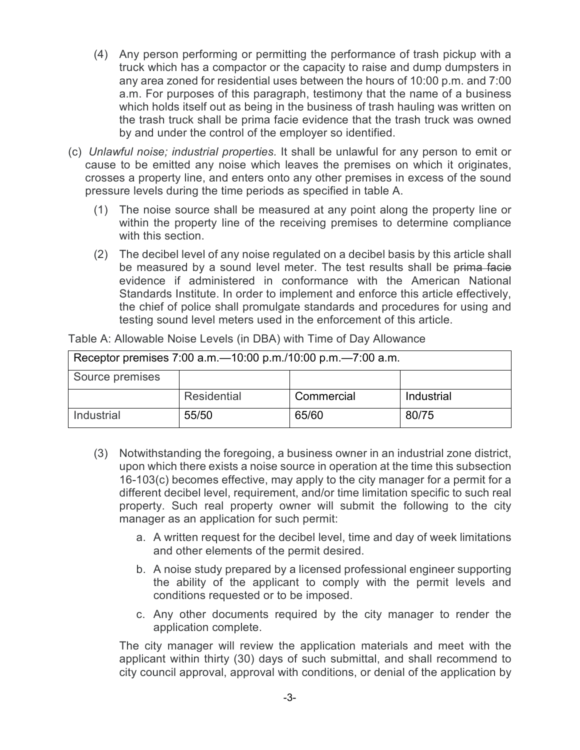- (4) Any person performing or permitting the performance of trash pickup with a truck which has a compactor or the capacity to raise and dump dumpsters in any area zoned for residential uses between the hours of 10:00 p.m. and 7:00 a.m. For purposes of this paragraph, testimony that the name of a business which holds itself out as being in the business of trash hauling was written on the trash truck shall be prima facie evidence that the trash truck was owned by and under the control of the employer so identified.
- (c) *Unlawful noise; industrial properties.* It shall be unlawful for any person to emit or cause to be emitted any noise which leaves the premises on which it originates, crosses a property line, and enters onto any other premises in excess of the sound pressure levels during the time periods as specified in table A.
	- (1) The noise source shall be measured at any point along the property line or within the property line of the receiving premises to determine compliance with this section.
	- (2) The decibel level of any noise regulated on a decibel basis by this article shall be measured by a sound level meter. The test results shall be prima facie evidence if administered in conformance with the American National Standards Institute. In order to implement and enforce this article effectively, the chief of police shall promulgate standards and procedures for using and testing sound level meters used in the enforcement of this article.

| Receptor premises 7:00 a.m. -10:00 p.m./10:00 p.m. -7:00 a.m. |             |            |            |
|---------------------------------------------------------------|-------------|------------|------------|
| Source premises                                               |             |            |            |
|                                                               | Residential | Commercial | Industrial |
| Industrial                                                    | 55/50       | 65/60      | 80/75      |

Table A: Allowable Noise Levels (in DBA) with Time of Day Allowance

- (3) Notwithstanding the foregoing, a business owner in an industrial zone district, upon which there exists a noise source in operation at the time this subsection 16-103(c) becomes effective, may apply to the city manager for a permit for a different decibel level, requirement, and/or time limitation specific to such real property. Such real property owner will submit the following to the city manager as an application for such permit:
	- a. A written request for the decibel level, time and day of week limitations and other elements of the permit desired.
	- b. A noise study prepared by a licensed professional engineer supporting the ability of the applicant to comply with the permit levels and conditions requested or to be imposed.
	- c. Any other documents required by the city manager to render the application complete.

The city manager will review the application materials and meet with the applicant within thirty (30) days of such submittal, and shall recommend to city council approval, approval with conditions, or denial of the application by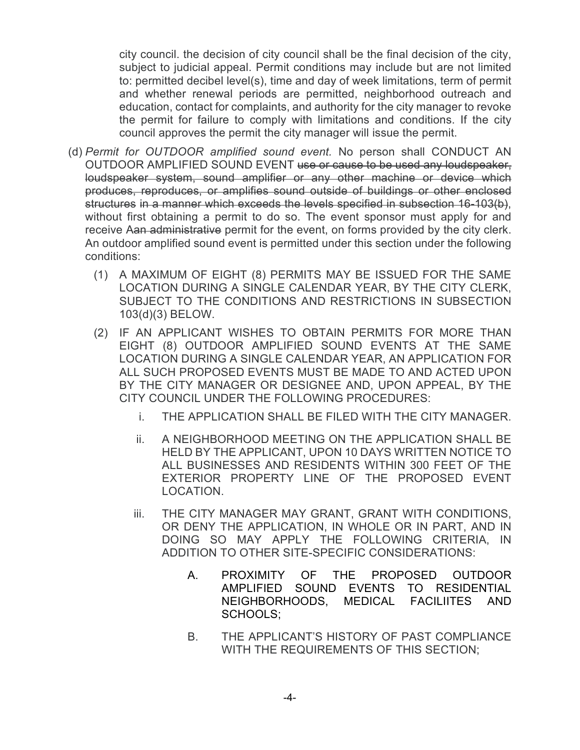city council. the decision of city council shall be the final decision of the city, subject to judicial appeal. Permit conditions may include but are not limited to: permitted decibel level(s), time and day of week limitations, term of permit and whether renewal periods are permitted, neighborhood outreach and education, contact for complaints, and authority for the city manager to revoke the permit for failure to comply with limitations and conditions. If the city council approves the permit the city manager will issue the permit.

- (d) *Permit for OUTDOOR amplified sound event.* No person shall CONDUCT AN OUTDOOR AMPLIFIED SOUND EVENT use or cause to be used any loudspeaker, loudspeaker system, sound amplifier or any other machine or device which produces, reproduces, or amplifies sound outside of buildings or other enclosed structures in a manner which exceeds the levels specified in subsection 16-103(b), without first obtaining a permit to do so. The event sponsor must apply for and receive Aan administrative permit for the event, on forms provided by the city clerk. An outdoor amplified sound event is permitted under this section under the following conditions:
	- (1) A MAXIMUM OF EIGHT (8) PERMITS MAY BE ISSUED FOR THE SAME LOCATION DURING A SINGLE CALENDAR YEAR, BY THE CITY CLERK, SUBJECT TO THE CONDITIONS AND RESTRICTIONS IN SUBSECTION 103(d)(3) BELOW.
	- (2) IF AN APPLICANT WISHES TO OBTAIN PERMITS FOR MORE THAN EIGHT (8) OUTDOOR AMPLIFIED SOUND EVENTS AT THE SAME LOCATION DURING A SINGLE CALENDAR YEAR, AN APPLICATION FOR ALL SUCH PROPOSED EVENTS MUST BE MADE TO AND ACTED UPON BY THE CITY MANAGER OR DESIGNEE AND, UPON APPEAL, BY THE CITY COUNCIL UNDER THE FOLLOWING PROCEDURES:
		- i. THE APPLICATION SHALL BE FILED WITH THE CITY MANAGER.
		- ii. A NEIGHBORHOOD MEETING ON THE APPLICATION SHALL BE HELD BY THE APPLICANT, UPON 10 DAYS WRITTEN NOTICE TO ALL BUSINESSES AND RESIDENTS WITHIN 300 FEET OF THE EXTERIOR PROPERTY LINE OF THE PROPOSED EVENT LOCATION.
		- iii. THE CITY MANAGER MAY GRANT, GRANT WITH CONDITIONS, OR DENY THE APPLICATION, IN WHOLE OR IN PART, AND IN DOING SO MAY APPLY THE FOLLOWING CRITERIA, IN ADDITION TO OTHER SITE-SPECIFIC CONSIDERATIONS:
			- A. PROXIMITY OF THE PROPOSED OUTDOOR AMPLIFIED SOUND EVENTS TO RESIDENTIAL NEIGHBORHOODS, MEDICAL FACILIITES AND SCHOOLS;
			- B. THE APPLICANT'S HISTORY OF PAST COMPLIANCE WITH THE REQUIREMENTS OF THIS SECTION;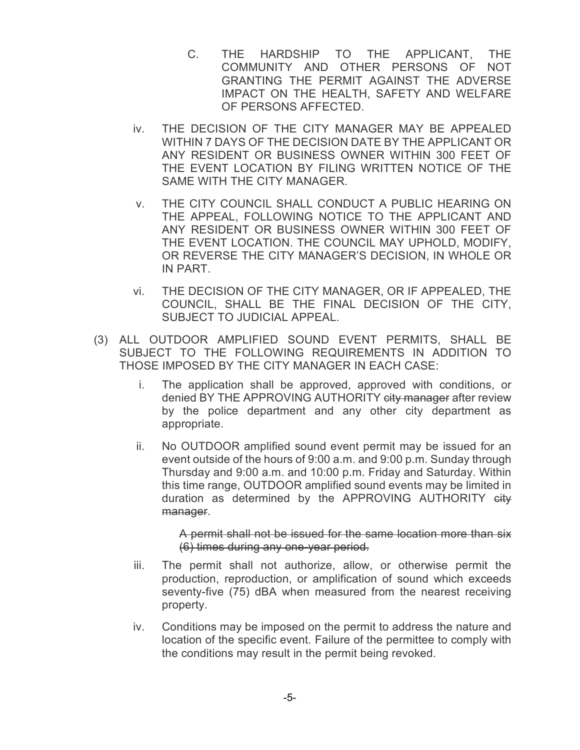- C. THE HARDSHIP TO THE APPLICANT, THE COMMUNITY AND OTHER PERSONS OF NOT GRANTING THE PERMIT AGAINST THE ADVERSE IMPACT ON THE HEALTH, SAFETY AND WELFARE OF PERSONS AFFECTED.
- iv. THE DECISION OF THE CITY MANAGER MAY BE APPEALED WITHIN 7 DAYS OF THE DECISION DATE BY THE APPLICANT OR ANY RESIDENT OR BUSINESS OWNER WITHIN 300 FEET OF THE EVENT LOCATION BY FILING WRITTEN NOTICE OF THE SAME WITH THE CITY MANAGER.
- v. THE CITY COUNCIL SHALL CONDUCT A PUBLIC HEARING ON THE APPEAL, FOLLOWING NOTICE TO THE APPLICANT AND ANY RESIDENT OR BUSINESS OWNER WITHIN 300 FEET OF THE EVENT LOCATION. THE COUNCIL MAY UPHOLD, MODIFY, OR REVERSE THE CITY MANAGER'S DECISION, IN WHOLE OR IN PART.
- vi. THE DECISION OF THE CITY MANAGER, OR IF APPEALED, THE COUNCIL, SHALL BE THE FINAL DECISION OF THE CITY, SUBJECT TO JUDICIAL APPEAL.
- (3) ALL OUTDOOR AMPLIFIED SOUND EVENT PERMITS, SHALL BE SUBJECT TO THE FOLLOWING REQUIREMENTS IN ADDITION TO THOSE IMPOSED BY THE CITY MANAGER IN EACH CASE:
	- i. The application shall be approved, approved with conditions, or denied BY THE APPROVING AUTHORITY eity manager after review by the police department and any other city department as appropriate.
	- ii. No OUTDOOR amplified sound event permit may be issued for an event outside of the hours of 9:00 a.m. and 9:00 p.m. Sunday through Thursday and 9:00 a.m. and 10:00 p.m. Friday and Saturday. Within this time range, OUTDOOR amplified sound events may be limited in duration as determined by the APPROVING AUTHORITY city manager.

A permit shall not be issued for the same location more than six (6) times during any one-year period.

- iii. The permit shall not authorize, allow, or otherwise permit the production, reproduction, or amplification of sound which exceeds seventy-five (75) dBA when measured from the nearest receiving property.
- iv. Conditions may be imposed on the permit to address the nature and location of the specific event. Failure of the permittee to comply with the conditions may result in the permit being revoked.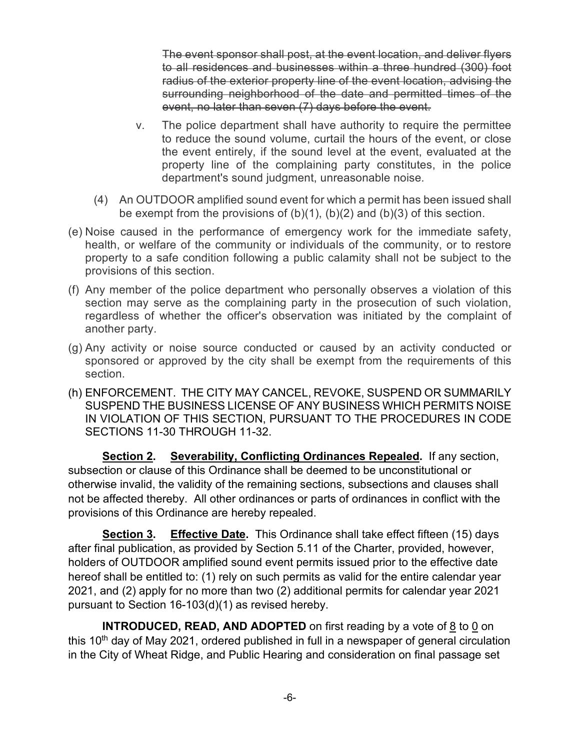The event sponsor shall post, at the event location, and deliver flyers to all residences and businesses within a three hundred (300) foot radius of the exterior property line of the event location, advising the surrounding neighborhood of the date and permitted times of the event, no later than seven (7) days before the event.

- v. The police department shall have authority to require the permittee to reduce the sound volume, curtail the hours of the event, or close the event entirely, if the sound level at the event, evaluated at the property line of the complaining party constitutes, in the police department's sound judgment, unreasonable noise.
- (4) An OUTDOOR amplified sound event for which a permit has been issued shall be exempt from the provisions of  $(b)(1)$ ,  $(b)(2)$  and  $(b)(3)$  of this section.
- (e) Noise caused in the performance of emergency work for the immediate safety, health, or welfare of the community or individuals of the community, or to restore property to a safe condition following a public calamity shall not be subject to the provisions of this section.
- (f) Any member of the police department who personally observes a violation of this section may serve as the complaining party in the prosecution of such violation, regardless of whether the officer's observation was initiated by the complaint of another party.
- (g) Any activity or noise source conducted or caused by an activity conducted or sponsored or approved by the city shall be exempt from the requirements of this section.
- (h) ENFORCEMENT. THE CITY MAY CANCEL, REVOKE, SUSPEND OR SUMMARILY SUSPEND THE BUSINESS LICENSE OF ANY BUSINESS WHICH PERMITS NOISE IN VIOLATION OF THIS SECTION, PURSUANT TO THE PROCEDURES IN CODE SECTIONS 11-30 THROUGH 11-32.

**Section 2. Severability, Conflicting Ordinances Repealed.** If any section, subsection or clause of this Ordinance shall be deemed to be unconstitutional or otherwise invalid, the validity of the remaining sections, subsections and clauses shall not be affected thereby. All other ordinances or parts of ordinances in conflict with the provisions of this Ordinance are hereby repealed.

**Section 3. Effective Date.** This Ordinance shall take effect fifteen (15) days after final publication, as provided by Section 5.11 of the Charter, provided, however, holders of OUTDOOR amplified sound event permits issued prior to the effective date hereof shall be entitled to: (1) rely on such permits as valid for the entire calendar year 2021, and (2) apply for no more than two (2) additional permits for calendar year 2021 pursuant to Section 16-103(d)(1) as revised hereby.

**INTRODUCED, READ, AND ADOPTED** on first reading by a vote of 8 to 0 on this 10<sup>th</sup> day of May 2021, ordered published in full in a newspaper of general circulation in the City of Wheat Ridge, and Public Hearing and consideration on final passage set